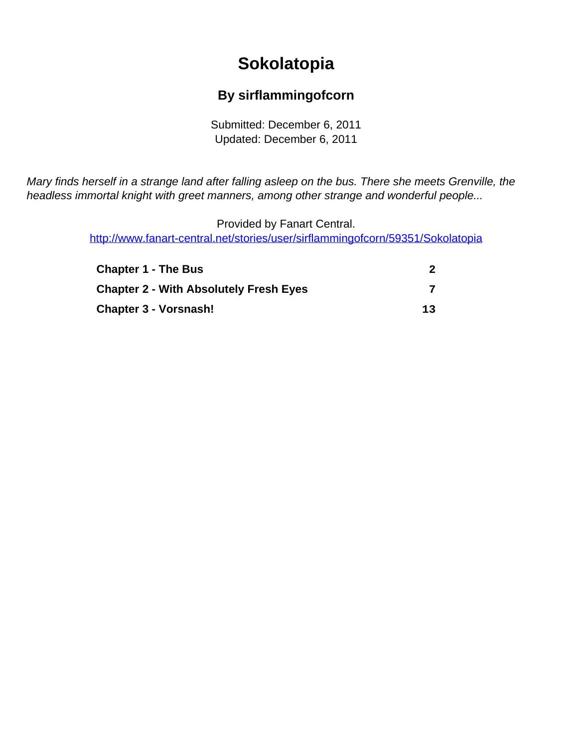# **Sokolatopia**

#### **By sirflammingofcorn**

Submitted: December 6, 2011 Updated: December 6, 2011

<span id="page-0-0"></span>Mary finds herself in a strange land after falling asleep on the bus. There she meets Grenville, the headless immortal knight with greet manners, among other strange and wonderful people...

> Provided by Fanart Central. [http://www.fanart-central.net/stories/user/sirflammingofcorn/59351/Sokolatopia](#page-0-0)

| <b>Chapter 1 - The Bus</b>                    |    |
|-----------------------------------------------|----|
| <b>Chapter 2 - With Absolutely Fresh Eyes</b> |    |
| <b>Chapter 3 - Vorsnash!</b>                  | 13 |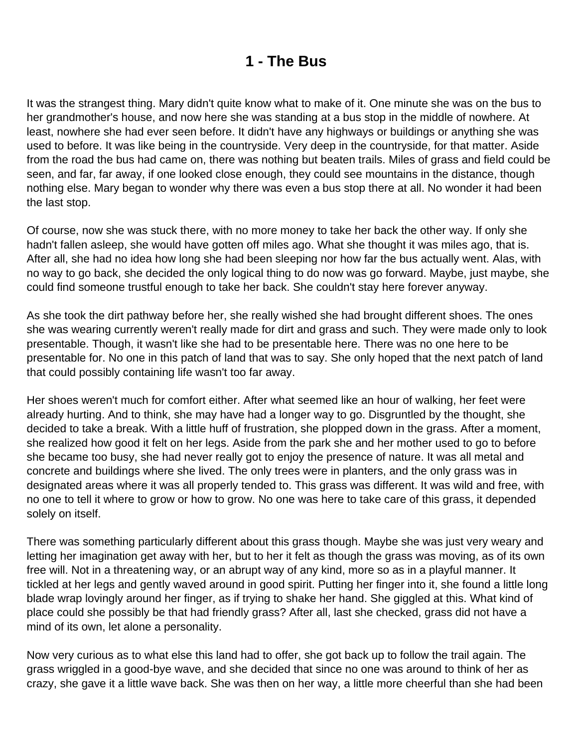#### **1 - The Bus**

<span id="page-1-0"></span>It was the strangest thing. Mary didn't quite know what to make of it. One minute she was on the bus to her grandmother's house, and now here she was standing at a bus stop in the middle of nowhere. At least, nowhere she had ever seen before. It didn't have any highways or buildings or anything she was used to before. It was like being in the countryside. Very deep in the countryside, for that matter. Aside from the road the bus had came on, there was nothing but beaten trails. Miles of grass and field could be seen, and far, far away, if one looked close enough, they could see mountains in the distance, though nothing else. Mary began to wonder why there was even a bus stop there at all. No wonder it had been the last stop.

Of course, now she was stuck there, with no more money to take her back the other way. If only she hadn't fallen asleep, she would have gotten off miles ago. What she thought it was miles ago, that is. After all, she had no idea how long she had been sleeping nor how far the bus actually went. Alas, with no way to go back, she decided the only logical thing to do now was go forward. Maybe, just maybe, she could find someone trustful enough to take her back. She couldn't stay here forever anyway.

As she took the dirt pathway before her, she really wished she had brought different shoes. The ones she was wearing currently weren't really made for dirt and grass and such. They were made only to look presentable. Though, it wasn't like she had to be presentable here. There was no one here to be presentable for. No one in this patch of land that was to say. She only hoped that the next patch of land that could possibly containing life wasn't too far away.

Her shoes weren't much for comfort either. After what seemed like an hour of walking, her feet were already hurting. And to think, she may have had a longer way to go. Disgruntled by the thought, she decided to take a break. With a little huff of frustration, she plopped down in the grass. After a moment, she realized how good it felt on her legs. Aside from the park she and her mother used to go to before she became too busy, she had never really got to enjoy the presence of nature. It was all metal and concrete and buildings where she lived. The only trees were in planters, and the only grass was in designated areas where it was all properly tended to. This grass was different. It was wild and free, with no one to tell it where to grow or how to grow. No one was here to take care of this grass, it depended solely on itself.

There was something particularly different about this grass though. Maybe she was just very weary and letting her imagination get away with her, but to her it felt as though the grass was moving, as of its own free will. Not in a threatening way, or an abrupt way of any kind, more so as in a playful manner. It tickled at her legs and gently waved around in good spirit. Putting her finger into it, she found a little long blade wrap lovingly around her finger, as if trying to shake her hand. She giggled at this. What kind of place could she possibly be that had friendly grass? After all, last she checked, grass did not have a mind of its own, let alone a personality.

Now very curious as to what else this land had to offer, she got back up to follow the trail again. The grass wriggled in a good-bye wave, and she decided that since no one was around to think of her as crazy, she gave it a little wave back. She was then on her way, a little more cheerful than she had been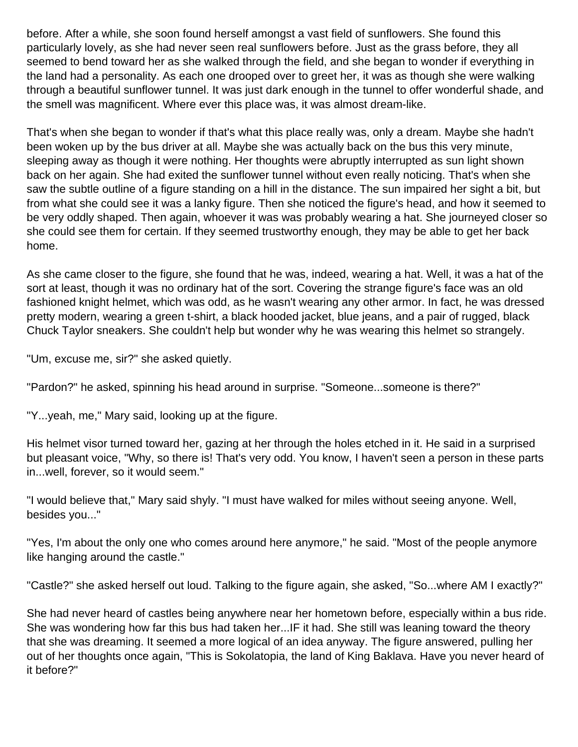before. After a while, she soon found herself amongst a vast field of sunflowers. She found this particularly lovely, as she had never seen real sunflowers before. Just as the grass before, they all seemed to bend toward her as she walked through the field, and she began to wonder if everything in the land had a personality. As each one drooped over to greet her, it was as though she were walking through a beautiful sunflower tunnel. It was just dark enough in the tunnel to offer wonderful shade, and the smell was magnificent. Where ever this place was, it was almost dream-like.

That's when she began to wonder if that's what this place really was, only a dream. Maybe she hadn't been woken up by the bus driver at all. Maybe she was actually back on the bus this very minute, sleeping away as though it were nothing. Her thoughts were abruptly interrupted as sun light shown back on her again. She had exited the sunflower tunnel without even really noticing. That's when she saw the subtle outline of a figure standing on a hill in the distance. The sun impaired her sight a bit, but from what she could see it was a lanky figure. Then she noticed the figure's head, and how it seemed to be very oddly shaped. Then again, whoever it was was probably wearing a hat. She journeyed closer so she could see them for certain. If they seemed trustworthy enough, they may be able to get her back home.

As she came closer to the figure, she found that he was, indeed, wearing a hat. Well, it was a hat of the sort at least, though it was no ordinary hat of the sort. Covering the strange figure's face was an old fashioned knight helmet, which was odd, as he wasn't wearing any other armor. In fact, he was dressed pretty modern, wearing a green t-shirt, a black hooded jacket, blue jeans, and a pair of rugged, black Chuck Taylor sneakers. She couldn't help but wonder why he was wearing this helmet so strangely.

"Um, excuse me, sir?" she asked quietly.

"Pardon?" he asked, spinning his head around in surprise. "Someone...someone is there?"

"Y...yeah, me," Mary said, looking up at the figure.

His helmet visor turned toward her, gazing at her through the holes etched in it. He said in a surprised but pleasant voice, "Why, so there is! That's very odd. You know, I haven't seen a person in these parts in...well, forever, so it would seem."

"I would believe that," Mary said shyly. "I must have walked for miles without seeing anyone. Well, besides you..."

"Yes, I'm about the only one who comes around here anymore," he said. "Most of the people anymore like hanging around the castle."

"Castle?" she asked herself out loud. Talking to the figure again, she asked, "So...where AM I exactly?"

She had never heard of castles being anywhere near her hometown before, especially within a bus ride. She was wondering how far this bus had taken her...IF it had. She still was leaning toward the theory that she was dreaming. It seemed a more logical of an idea anyway. The figure answered, pulling her out of her thoughts once again, "This is Sokolatopia, the land of King Baklava. Have you never heard of it before?"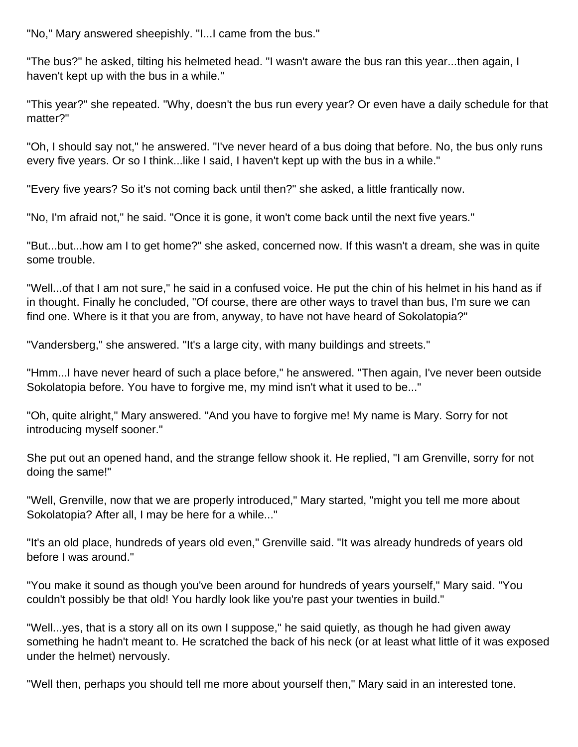"No," Mary answered sheepishly. "I...I came from the bus."

"The bus?" he asked, tilting his helmeted head. "I wasn't aware the bus ran this year...then again, I haven't kept up with the bus in a while."

"This year?" she repeated. "Why, doesn't the bus run every year? Or even have a daily schedule for that matter?"

"Oh, I should say not," he answered. "I've never heard of a bus doing that before. No, the bus only runs every five years. Or so I think...like I said, I haven't kept up with the bus in a while."

"Every five years? So it's not coming back until then?" she asked, a little frantically now.

"No, I'm afraid not," he said. "Once it is gone, it won't come back until the next five years."

"But...but...how am I to get home?" she asked, concerned now. If this wasn't a dream, she was in quite some trouble.

"Well...of that I am not sure," he said in a confused voice. He put the chin of his helmet in his hand as if in thought. Finally he concluded, "Of course, there are other ways to travel than bus, I'm sure we can find one. Where is it that you are from, anyway, to have not have heard of Sokolatopia?"

"Vandersberg," she answered. "It's a large city, with many buildings and streets."

"Hmm...I have never heard of such a place before," he answered. "Then again, I've never been outside Sokolatopia before. You have to forgive me, my mind isn't what it used to be..."

"Oh, quite alright," Mary answered. "And you have to forgive me! My name is Mary. Sorry for not introducing myself sooner."

She put out an opened hand, and the strange fellow shook it. He replied, "I am Grenville, sorry for not doing the same!"

"Well, Grenville, now that we are properly introduced," Mary started, "might you tell me more about Sokolatopia? After all, I may be here for a while..."

"It's an old place, hundreds of years old even," Grenville said. "It was already hundreds of years old before I was around."

"You make it sound as though you've been around for hundreds of years yourself," Mary said. "You couldn't possibly be that old! You hardly look like you're past your twenties in build."

"Well...yes, that is a story all on its own I suppose," he said quietly, as though he had given away something he hadn't meant to. He scratched the back of his neck (or at least what little of it was exposed under the helmet) nervously.

"Well then, perhaps you should tell me more about yourself then," Mary said in an interested tone.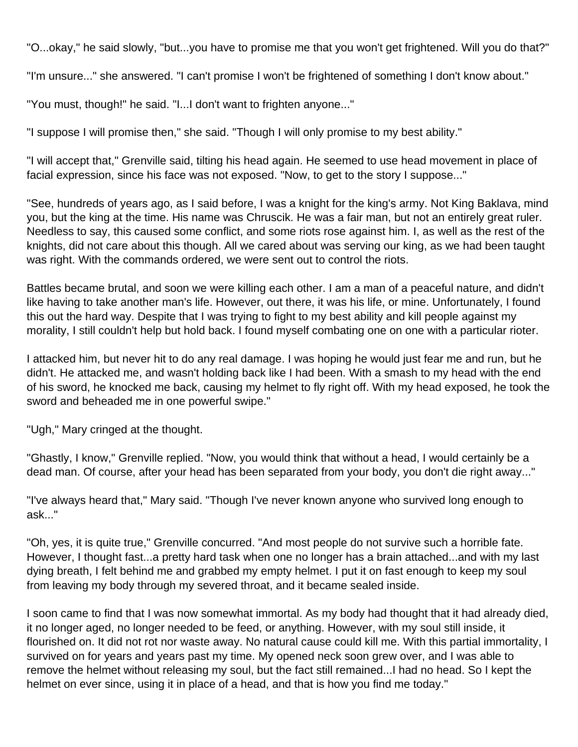"O...okay," he said slowly, "but...you have to promise me that you won't get frightened. Will you do that?"

"I'm unsure..." she answered. "I can't promise I won't be frightened of something I don't know about."

"You must, though!" he said. "I...I don't want to frighten anyone..."

"I suppose I will promise then," she said. "Though I will only promise to my best ability."

"I will accept that," Grenville said, tilting his head again. He seemed to use head movement in place of facial expression, since his face was not exposed. "Now, to get to the story I suppose..."

"See, hundreds of years ago, as I said before, I was a knight for the king's army. Not King Baklava, mind you, but the king at the time. His name was Chruscik. He was a fair man, but not an entirely great ruler. Needless to say, this caused some conflict, and some riots rose against him. I, as well as the rest of the knights, did not care about this though. All we cared about was serving our king, as we had been taught was right. With the commands ordered, we were sent out to control the riots.

Battles became brutal, and soon we were killing each other. I am a man of a peaceful nature, and didn't like having to take another man's life. However, out there, it was his life, or mine. Unfortunately, I found this out the hard way. Despite that I was trying to fight to my best ability and kill people against my morality, I still couldn't help but hold back. I found myself combating one on one with a particular rioter.

I attacked him, but never hit to do any real damage. I was hoping he would just fear me and run, but he didn't. He attacked me, and wasn't holding back like I had been. With a smash to my head with the end of his sword, he knocked me back, causing my helmet to fly right off. With my head exposed, he took the sword and beheaded me in one powerful swipe."

"Ugh," Mary cringed at the thought.

"Ghastly, I know," Grenville replied. "Now, you would think that without a head, I would certainly be a dead man. Of course, after your head has been separated from your body, you don't die right away..."

"I've always heard that," Mary said. "Though I've never known anyone who survived long enough to ask..."

"Oh, yes, it is quite true," Grenville concurred. "And most people do not survive such a horrible fate. However, I thought fast...a pretty hard task when one no longer has a brain attached...and with my last dying breath, I felt behind me and grabbed my empty helmet. I put it on fast enough to keep my soul from leaving my body through my severed throat, and it became sealed inside.

I soon came to find that I was now somewhat immortal. As my body had thought that it had already died, it no longer aged, no longer needed to be feed, or anything. However, with my soul still inside, it flourished on. It did not rot nor waste away. No natural cause could kill me. With this partial immortality, I survived on for years and years past my time. My opened neck soon grew over, and I was able to remove the helmet without releasing my soul, but the fact still remained...I had no head. So I kept the helmet on ever since, using it in place of a head, and that is how you find me today."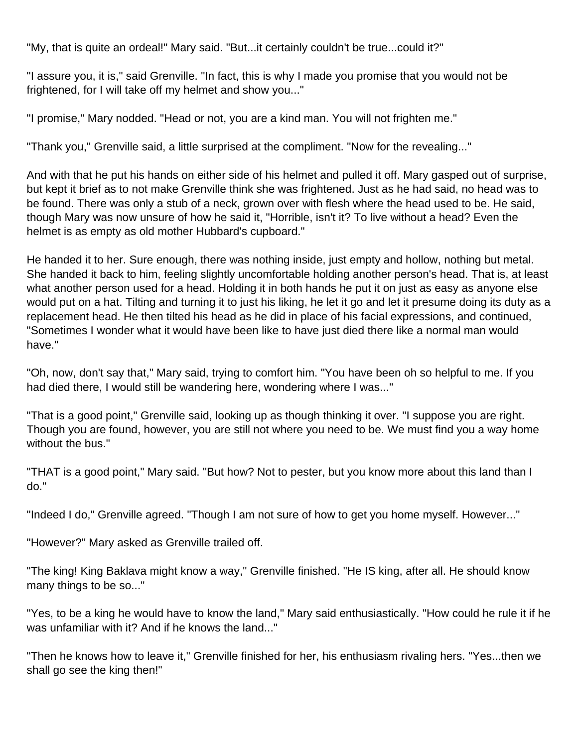"My, that is quite an ordeal!" Mary said. "But...it certainly couldn't be true...could it?"

"I assure you, it is," said Grenville. "In fact, this is why I made you promise that you would not be frightened, for I will take off my helmet and show you..."

"I promise," Mary nodded. "Head or not, you are a kind man. You will not frighten me."

"Thank you," Grenville said, a little surprised at the compliment. "Now for the revealing..."

And with that he put his hands on either side of his helmet and pulled it off. Mary gasped out of surprise, but kept it brief as to not make Grenville think she was frightened. Just as he had said, no head was to be found. There was only a stub of a neck, grown over with flesh where the head used to be. He said, though Mary was now unsure of how he said it, "Horrible, isn't it? To live without a head? Even the helmet is as empty as old mother Hubbard's cupboard."

He handed it to her. Sure enough, there was nothing inside, just empty and hollow, nothing but metal. She handed it back to him, feeling slightly uncomfortable holding another person's head. That is, at least what another person used for a head. Holding it in both hands he put it on just as easy as anyone else would put on a hat. Tilting and turning it to just his liking, he let it go and let it presume doing its duty as a replacement head. He then tilted his head as he did in place of his facial expressions, and continued, "Sometimes I wonder what it would have been like to have just died there like a normal man would have."

"Oh, now, don't say that," Mary said, trying to comfort him. "You have been oh so helpful to me. If you had died there, I would still be wandering here, wondering where I was..."

"That is a good point," Grenville said, looking up as though thinking it over. "I suppose you are right. Though you are found, however, you are still not where you need to be. We must find you a way home without the bus."

"THAT is a good point," Mary said. "But how? Not to pester, but you know more about this land than I do."

"Indeed I do," Grenville agreed. "Though I am not sure of how to get you home myself. However..."

"However?" Mary asked as Grenville trailed off.

"The king! King Baklava might know a way," Grenville finished. "He IS king, after all. He should know many things to be so..."

"Yes, to be a king he would have to know the land," Mary said enthusiastically. "How could he rule it if he was unfamiliar with it? And if he knows the land..."

"Then he knows how to leave it," Grenville finished for her, his enthusiasm rivaling hers. "Yes...then we shall go see the king then!"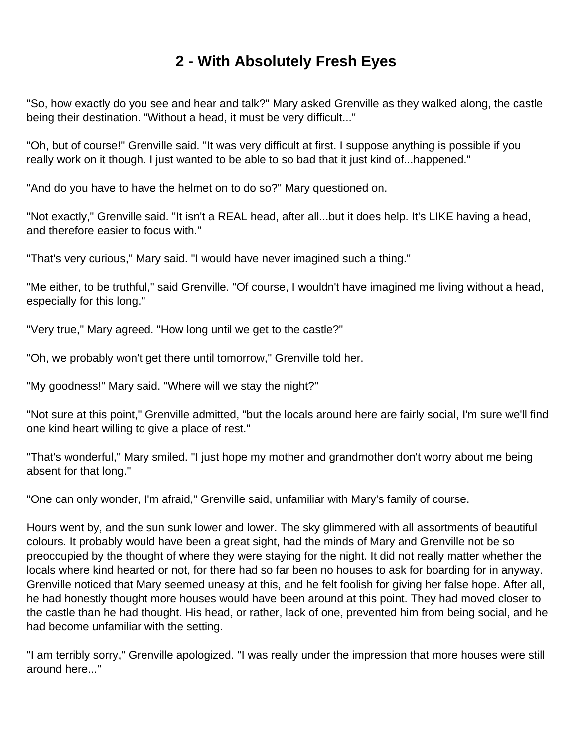## **2 - With Absolutely Fresh Eyes**

<span id="page-6-0"></span>"So, how exactly do you see and hear and talk?" Mary asked Grenville as they walked along, the castle being their destination. "Without a head, it must be very difficult..."

"Oh, but of course!" Grenville said. "It was very difficult at first. I suppose anything is possible if you really work on it though. I just wanted to be able to so bad that it just kind of...happened."

"And do you have to have the helmet on to do so?" Mary questioned on.

"Not exactly," Grenville said. "It isn't a REAL head, after all...but it does help. It's LIKE having a head, and therefore easier to focus with."

"That's very curious," Mary said. "I would have never imagined such a thing."

"Me either, to be truthful," said Grenville. "Of course, I wouldn't have imagined me living without a head, especially for this long."

"Very true," Mary agreed. "How long until we get to the castle?"

"Oh, we probably won't get there until tomorrow," Grenville told her.

"My goodness!" Mary said. "Where will we stay the night?"

"Not sure at this point," Grenville admitted, "but the locals around here are fairly social, I'm sure we'll find one kind heart willing to give a place of rest."

"That's wonderful," Mary smiled. "I just hope my mother and grandmother don't worry about me being absent for that long."

"One can only wonder, I'm afraid," Grenville said, unfamiliar with Mary's family of course.

Hours went by, and the sun sunk lower and lower. The sky glimmered with all assortments of beautiful colours. It probably would have been a great sight, had the minds of Mary and Grenville not be so preoccupied by the thought of where they were staying for the night. It did not really matter whether the locals where kind hearted or not, for there had so far been no houses to ask for boarding for in anyway. Grenville noticed that Mary seemed uneasy at this, and he felt foolish for giving her false hope. After all, he had honestly thought more houses would have been around at this point. They had moved closer to the castle than he had thought. His head, or rather, lack of one, prevented him from being social, and he had become unfamiliar with the setting.

"I am terribly sorry," Grenville apologized. "I was really under the impression that more houses were still around here..."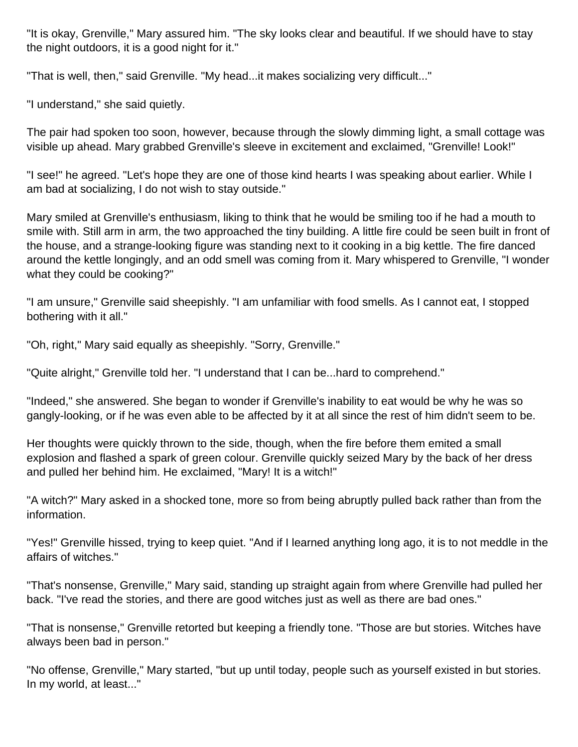"It is okay, Grenville," Mary assured him. "The sky looks clear and beautiful. If we should have to stay the night outdoors, it is a good night for it."

"That is well, then," said Grenville. "My head...it makes socializing very difficult..."

"I understand," she said quietly.

The pair had spoken too soon, however, because through the slowly dimming light, a small cottage was visible up ahead. Mary grabbed Grenville's sleeve in excitement and exclaimed, "Grenville! Look!"

"I see!" he agreed. "Let's hope they are one of those kind hearts I was speaking about earlier. While I am bad at socializing, I do not wish to stay outside."

Mary smiled at Grenville's enthusiasm, liking to think that he would be smiling too if he had a mouth to smile with. Still arm in arm, the two approached the tiny building. A little fire could be seen built in front of the house, and a strange-looking figure was standing next to it cooking in a big kettle. The fire danced around the kettle longingly, and an odd smell was coming from it. Mary whispered to Grenville, "I wonder what they could be cooking?"

"I am unsure," Grenville said sheepishly. "I am unfamiliar with food smells. As I cannot eat, I stopped bothering with it all."

"Oh, right," Mary said equally as sheepishly. "Sorry, Grenville."

"Quite alright," Grenville told her. "I understand that I can be...hard to comprehend."

"Indeed," she answered. She began to wonder if Grenville's inability to eat would be why he was so gangly-looking, or if he was even able to be affected by it at all since the rest of him didn't seem to be.

Her thoughts were quickly thrown to the side, though, when the fire before them emited a small explosion and flashed a spark of green colour. Grenville quickly seized Mary by the back of her dress and pulled her behind him. He exclaimed, "Mary! It is a witch!"

"A witch?" Mary asked in a shocked tone, more so from being abruptly pulled back rather than from the information.

"Yes!" Grenville hissed, trying to keep quiet. "And if I learned anything long ago, it is to not meddle in the affairs of witches."

"That's nonsense, Grenville," Mary said, standing up straight again from where Grenville had pulled her back. "I've read the stories, and there are good witches just as well as there are bad ones."

"That is nonsense," Grenville retorted but keeping a friendly tone. "Those are but stories. Witches have always been bad in person."

"No offense, Grenville," Mary started, "but up until today, people such as yourself existed in but stories. In my world, at least..."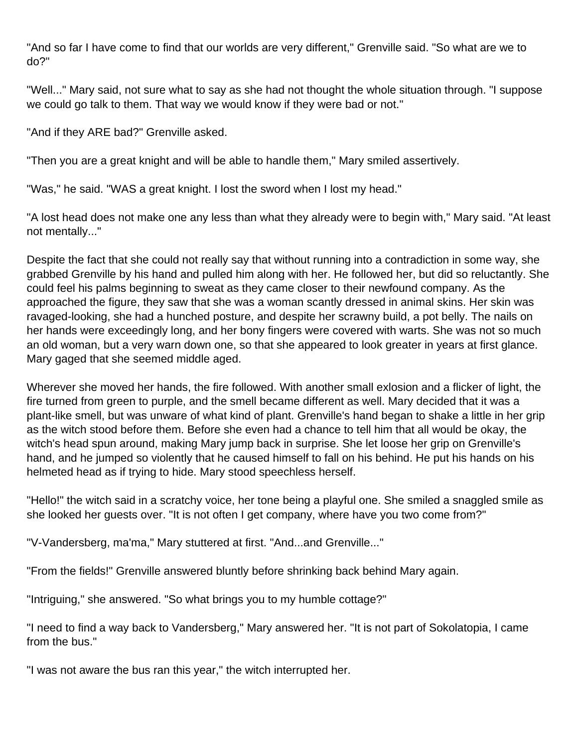"And so far I have come to find that our worlds are very different," Grenville said. "So what are we to do?"

"Well..." Mary said, not sure what to say as she had not thought the whole situation through. "I suppose we could go talk to them. That way we would know if they were bad or not."

"And if they ARE bad?" Grenville asked.

"Then you are a great knight and will be able to handle them," Mary smiled assertively.

"Was," he said. "WAS a great knight. I lost the sword when I lost my head."

"A lost head does not make one any less than what they already were to begin with," Mary said. "At least not mentally..."

Despite the fact that she could not really say that without running into a contradiction in some way, she grabbed Grenville by his hand and pulled him along with her. He followed her, but did so reluctantly. She could feel his palms beginning to sweat as they came closer to their newfound company. As the approached the figure, they saw that she was a woman scantly dressed in animal skins. Her skin was ravaged-looking, she had a hunched posture, and despite her scrawny build, a pot belly. The nails on her hands were exceedingly long, and her bony fingers were covered with warts. She was not so much an old woman, but a very warn down one, so that she appeared to look greater in years at first glance. Mary gaged that she seemed middle aged.

Wherever she moved her hands, the fire followed. With another small exlosion and a flicker of light, the fire turned from green to purple, and the smell became different as well. Mary decided that it was a plant-like smell, but was unware of what kind of plant. Grenville's hand began to shake a little in her grip as the witch stood before them. Before she even had a chance to tell him that all would be okay, the witch's head spun around, making Mary jump back in surprise. She let loose her grip on Grenville's hand, and he jumped so violently that he caused himself to fall on his behind. He put his hands on his helmeted head as if trying to hide. Mary stood speechless herself.

"Hello!" the witch said in a scratchy voice, her tone being a playful one. She smiled a snaggled smile as she looked her guests over. "It is not often I get company, where have you two come from?"

"V-Vandersberg, ma'ma," Mary stuttered at first. "And...and Grenville..."

"From the fields!" Grenville answered bluntly before shrinking back behind Mary again.

"Intriguing," she answered. "So what brings you to my humble cottage?"

"I need to find a way back to Vandersberg," Mary answered her. "It is not part of Sokolatopia, I came from the bus."

"I was not aware the bus ran this year," the witch interrupted her.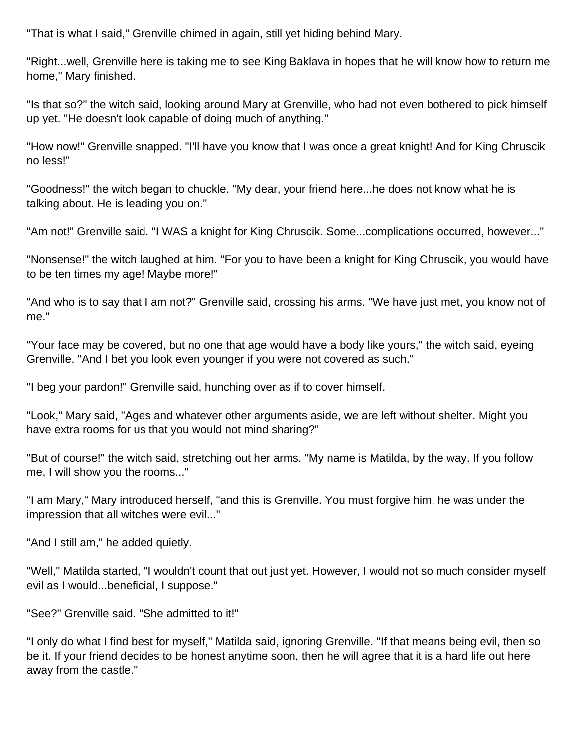"That is what I said," Grenville chimed in again, still yet hiding behind Mary.

"Right...well, Grenville here is taking me to see King Baklava in hopes that he will know how to return me home," Mary finished.

"Is that so?" the witch said, looking around Mary at Grenville, who had not even bothered to pick himself up yet. "He doesn't look capable of doing much of anything."

"How now!" Grenville snapped. "I'll have you know that I was once a great knight! And for King Chruscik no less!"

"Goodness!" the witch began to chuckle. "My dear, your friend here...he does not know what he is talking about. He is leading you on."

"Am not!" Grenville said. "I WAS a knight for King Chruscik. Some...complications occurred, however..."

"Nonsense!" the witch laughed at him. "For you to have been a knight for King Chruscik, you would have to be ten times my age! Maybe more!"

"And who is to say that I am not?" Grenville said, crossing his arms. "We have just met, you know not of me."

"Your face may be covered, but no one that age would have a body like yours," the witch said, eyeing Grenville. "And I bet you look even younger if you were not covered as such."

"I beg your pardon!" Grenville said, hunching over as if to cover himself.

"Look," Mary said, "Ages and whatever other arguments aside, we are left without shelter. Might you have extra rooms for us that you would not mind sharing?"

"But of course!" the witch said, stretching out her arms. "My name is Matilda, by the way. If you follow me, I will show you the rooms..."

"I am Mary," Mary introduced herself, "and this is Grenville. You must forgive him, he was under the impression that all witches were evil..."

"And I still am," he added quietly.

"Well," Matilda started, "I wouldn't count that out just yet. However, I would not so much consider myself evil as I would...beneficial, I suppose."

"See?" Grenville said. "She admitted to it!"

"I only do what I find best for myself," Matilda said, ignoring Grenville. "If that means being evil, then so be it. If your friend decides to be honest anytime soon, then he will agree that it is a hard life out here away from the castle."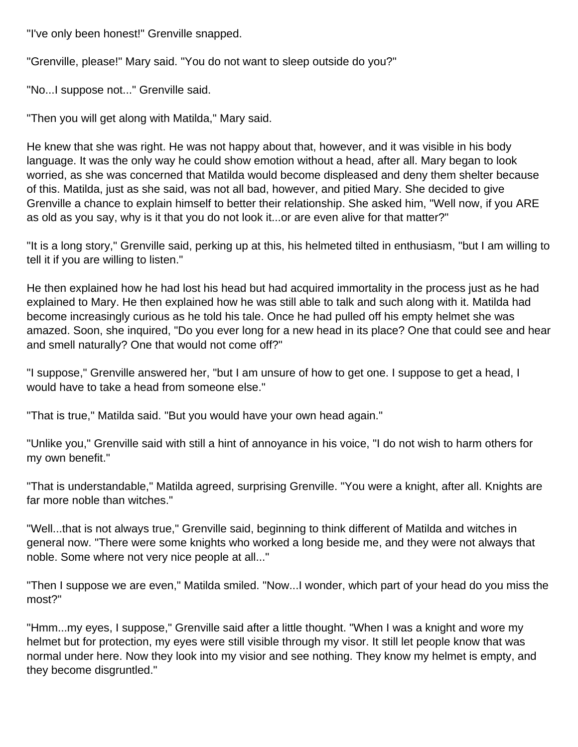"I've only been honest!" Grenville snapped.

"Grenville, please!" Mary said. "You do not want to sleep outside do you?"

"No...I suppose not..." Grenville said.

"Then you will get along with Matilda," Mary said.

He knew that she was right. He was not happy about that, however, and it was visible in his body language. It was the only way he could show emotion without a head, after all. Mary began to look worried, as she was concerned that Matilda would become displeased and deny them shelter because of this. Matilda, just as she said, was not all bad, however, and pitied Mary. She decided to give Grenville a chance to explain himself to better their relationship. She asked him, "Well now, if you ARE as old as you say, why is it that you do not look it...or are even alive for that matter?"

"It is a long story," Grenville said, perking up at this, his helmeted tilted in enthusiasm, "but I am willing to tell it if you are willing to listen."

He then explained how he had lost his head but had acquired immortality in the process just as he had explained to Mary. He then explained how he was still able to talk and such along with it. Matilda had become increasingly curious as he told his tale. Once he had pulled off his empty helmet she was amazed. Soon, she inquired, "Do you ever long for a new head in its place? One that could see and hear and smell naturally? One that would not come off?"

"I suppose," Grenville answered her, "but I am unsure of how to get one. I suppose to get a head, I would have to take a head from someone else."

"That is true," Matilda said. "But you would have your own head again."

"Unlike you," Grenville said with still a hint of annoyance in his voice, "I do not wish to harm others for my own benefit."

"That is understandable," Matilda agreed, surprising Grenville. "You were a knight, after all. Knights are far more noble than witches."

"Well...that is not always true," Grenville said, beginning to think different of Matilda and witches in general now. "There were some knights who worked a long beside me, and they were not always that noble. Some where not very nice people at all..."

"Then I suppose we are even," Matilda smiled. "Now...I wonder, which part of your head do you miss the most?"

"Hmm...my eyes, I suppose," Grenville said after a little thought. "When I was a knight and wore my helmet but for protection, my eyes were still visible through my visor. It still let people know that was normal under here. Now they look into my visior and see nothing. They know my helmet is empty, and they become disgruntled."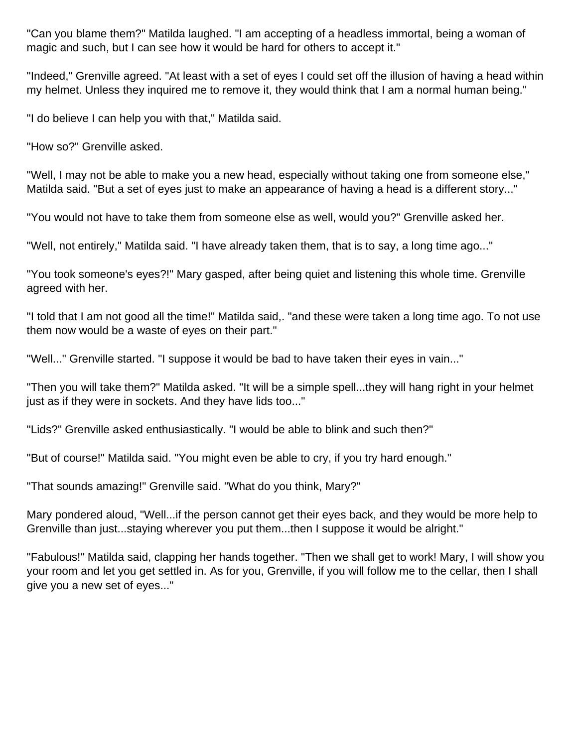"Can you blame them?" Matilda laughed. "I am accepting of a headless immortal, being a woman of magic and such, but I can see how it would be hard for others to accept it."

"Indeed," Grenville agreed. "At least with a set of eyes I could set off the illusion of having a head within my helmet. Unless they inquired me to remove it, they would think that I am a normal human being."

"I do believe I can help you with that," Matilda said.

"How so?" Grenville asked.

"Well, I may not be able to make you a new head, especially without taking one from someone else," Matilda said. "But a set of eyes just to make an appearance of having a head is a different story..."

"You would not have to take them from someone else as well, would you?" Grenville asked her.

"Well, not entirely," Matilda said. "I have already taken them, that is to say, a long time ago..."

"You took someone's eyes?!" Mary gasped, after being quiet and listening this whole time. Grenville agreed with her.

"I told that I am not good all the time!" Matilda said,. "and these were taken a long time ago. To not use them now would be a waste of eyes on their part."

"Well..." Grenville started. "I suppose it would be bad to have taken their eyes in vain..."

"Then you will take them?" Matilda asked. "It will be a simple spell...they will hang right in your helmet just as if they were in sockets. And they have lids too..."

"Lids?" Grenville asked enthusiastically. "I would be able to blink and such then?"

"But of course!" Matilda said. "You might even be able to cry, if you try hard enough."

"That sounds amazing!" Grenville said. "What do you think, Mary?"

Mary pondered aloud, "Well...if the person cannot get their eyes back, and they would be more help to Grenville than just...staying wherever you put them...then I suppose it would be alright."

"Fabulous!" Matilda said, clapping her hands together. "Then we shall get to work! Mary, I will show you your room and let you get settled in. As for you, Grenville, if you will follow me to the cellar, then I shall give you a new set of eyes..."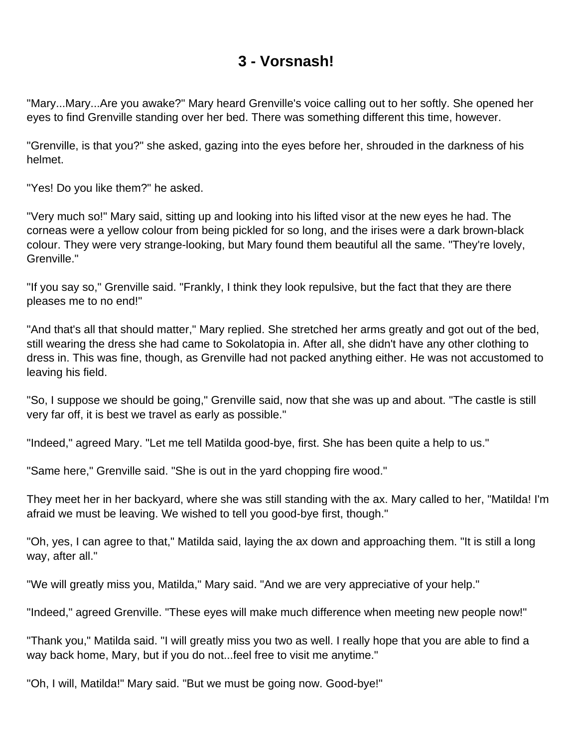### **3 - Vorsnash!**

<span id="page-12-0"></span>"Mary...Mary...Are you awake?" Mary heard Grenville's voice calling out to her softly. She opened her eyes to find Grenville standing over her bed. There was something different this time, however.

"Grenville, is that you?" she asked, gazing into the eyes before her, shrouded in the darkness of his helmet.

"Yes! Do you like them?" he asked.

"Very much so!" Mary said, sitting up and looking into his lifted visor at the new eyes he had. The corneas were a yellow colour from being pickled for so long, and the irises were a dark brown-black colour. They were very strange-looking, but Mary found them beautiful all the same. "They're lovely, Grenville."

"If you say so," Grenville said. "Frankly, I think they look repulsive, but the fact that they are there pleases me to no end!"

"And that's all that should matter," Mary replied. She stretched her arms greatly and got out of the bed, still wearing the dress she had came to Sokolatopia in. After all, she didn't have any other clothing to dress in. This was fine, though, as Grenville had not packed anything either. He was not accustomed to leaving his field.

"So, I suppose we should be going," Grenville said, now that she was up and about. "The castle is still very far off, it is best we travel as early as possible."

"Indeed," agreed Mary. "Let me tell Matilda good-bye, first. She has been quite a help to us."

"Same here," Grenville said. "She is out in the yard chopping fire wood."

They meet her in her backyard, where she was still standing with the ax. Mary called to her, "Matilda! I'm afraid we must be leaving. We wished to tell you good-bye first, though."

"Oh, yes, I can agree to that," Matilda said, laying the ax down and approaching them. "It is still a long way, after all."

"We will greatly miss you, Matilda," Mary said. "And we are very appreciative of your help."

"Indeed," agreed Grenville. "These eyes will make much difference when meeting new people now!"

"Thank you," Matilda said. "I will greatly miss you two as well. I really hope that you are able to find a way back home, Mary, but if you do not...feel free to visit me anytime."

"Oh, I will, Matilda!" Mary said. "But we must be going now. Good-bye!"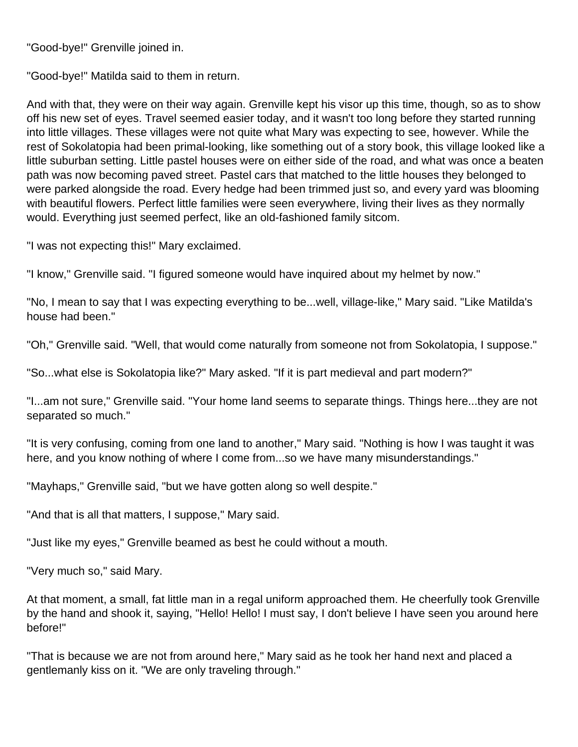"Good-bye!" Grenville joined in.

"Good-bye!" Matilda said to them in return.

And with that, they were on their way again. Grenville kept his visor up this time, though, so as to show off his new set of eyes. Travel seemed easier today, and it wasn't too long before they started running into little villages. These villages were not quite what Mary was expecting to see, however. While the rest of Sokolatopia had been primal-looking, like something out of a story book, this village looked like a little suburban setting. Little pastel houses were on either side of the road, and what was once a beaten path was now becoming paved street. Pastel cars that matched to the little houses they belonged to were parked alongside the road. Every hedge had been trimmed just so, and every yard was blooming with beautiful flowers. Perfect little families were seen everywhere, living their lives as they normally would. Everything just seemed perfect, like an old-fashioned family sitcom.

"I was not expecting this!" Mary exclaimed.

"I know," Grenville said. "I figured someone would have inquired about my helmet by now."

"No, I mean to say that I was expecting everything to be...well, village-like," Mary said. "Like Matilda's house had been."

"Oh," Grenville said. "Well, that would come naturally from someone not from Sokolatopia, I suppose."

"So...what else is Sokolatopia like?" Mary asked. "If it is part medieval and part modern?"

"I...am not sure," Grenville said. "Your home land seems to separate things. Things here...they are not separated so much."

"It is very confusing, coming from one land to another," Mary said. "Nothing is how I was taught it was here, and you know nothing of where I come from...so we have many misunderstandings."

"Mayhaps," Grenville said, "but we have gotten along so well despite."

"And that is all that matters, I suppose," Mary said.

"Just like my eyes," Grenville beamed as best he could without a mouth.

"Very much so," said Mary.

At that moment, a small, fat little man in a regal uniform approached them. He cheerfully took Grenville by the hand and shook it, saying, "Hello! Hello! I must say, I don't believe I have seen you around here before!"

"That is because we are not from around here," Mary said as he took her hand next and placed a gentlemanly kiss on it. "We are only traveling through."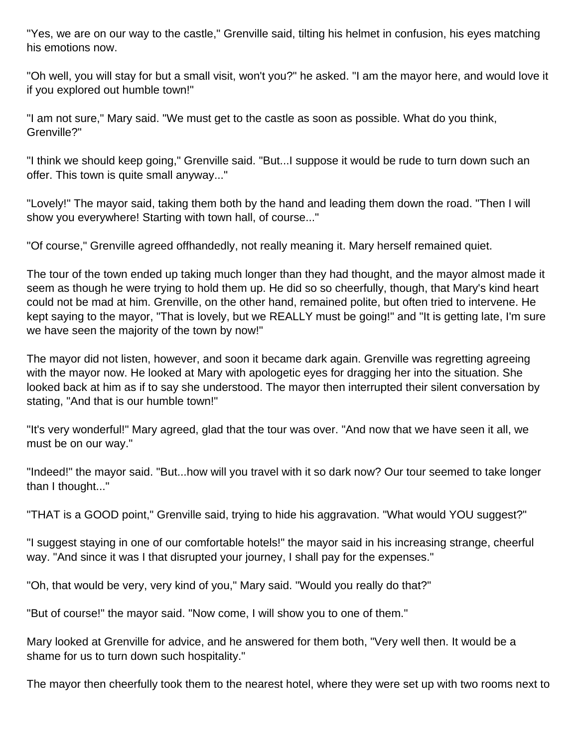"Yes, we are on our way to the castle," Grenville said, tilting his helmet in confusion, his eyes matching his emotions now.

"Oh well, you will stay for but a small visit, won't you?" he asked. "I am the mayor here, and would love it if you explored out humble town!"

"I am not sure," Mary said. "We must get to the castle as soon as possible. What do you think, Grenville?"

"I think we should keep going," Grenville said. "But...I suppose it would be rude to turn down such an offer. This town is quite small anyway..."

"Lovely!" The mayor said, taking them both by the hand and leading them down the road. "Then I will show you everywhere! Starting with town hall, of course..."

"Of course," Grenville agreed offhandedly, not really meaning it. Mary herself remained quiet.

The tour of the town ended up taking much longer than they had thought, and the mayor almost made it seem as though he were trying to hold them up. He did so so cheerfully, though, that Mary's kind heart could not be mad at him. Grenville, on the other hand, remained polite, but often tried to intervene. He kept saying to the mayor, "That is lovely, but we REALLY must be going!" and "It is getting late, I'm sure we have seen the majority of the town by now!"

The mayor did not listen, however, and soon it became dark again. Grenville was regretting agreeing with the mayor now. He looked at Mary with apologetic eyes for dragging her into the situation. She looked back at him as if to say she understood. The mayor then interrupted their silent conversation by stating, "And that is our humble town!"

"It's very wonderful!" Mary agreed, glad that the tour was over. "And now that we have seen it all, we must be on our way."

"Indeed!" the mayor said. "But...how will you travel with it so dark now? Our tour seemed to take longer than I thought..."

"THAT is a GOOD point," Grenville said, trying to hide his aggravation. "What would YOU suggest?"

"I suggest staying in one of our comfortable hotels!" the mayor said in his increasing strange, cheerful way. "And since it was I that disrupted your journey, I shall pay for the expenses."

"Oh, that would be very, very kind of you," Mary said. "Would you really do that?"

"But of course!" the mayor said. "Now come, I will show you to one of them."

Mary looked at Grenville for advice, and he answered for them both, "Very well then. It would be a shame for us to turn down such hospitality."

The mayor then cheerfully took them to the nearest hotel, where they were set up with two rooms next to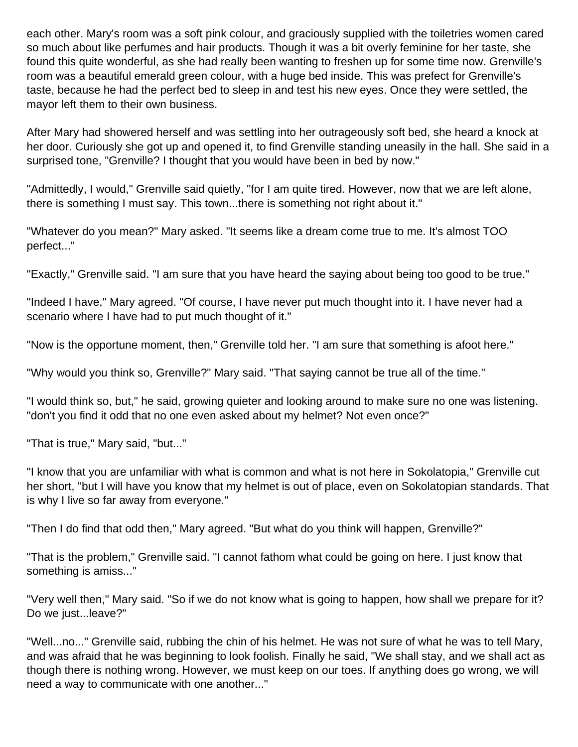each other. Mary's room was a soft pink colour, and graciously supplied with the toiletries women cared so much about like perfumes and hair products. Though it was a bit overly feminine for her taste, she found this quite wonderful, as she had really been wanting to freshen up for some time now. Grenville's room was a beautiful emerald green colour, with a huge bed inside. This was prefect for Grenville's taste, because he had the perfect bed to sleep in and test his new eyes. Once they were settled, the mayor left them to their own business.

After Mary had showered herself and was settling into her outrageously soft bed, she heard a knock at her door. Curiously she got up and opened it, to find Grenville standing uneasily in the hall. She said in a surprised tone, "Grenville? I thought that you would have been in bed by now."

"Admittedly, I would," Grenville said quietly, "for I am quite tired. However, now that we are left alone, there is something I must say. This town...there is something not right about it."

"Whatever do you mean?" Mary asked. "It seems like a dream come true to me. It's almost TOO perfect..."

"Exactly," Grenville said. "I am sure that you have heard the saying about being too good to be true."

"Indeed I have," Mary agreed. "Of course, I have never put much thought into it. I have never had a scenario where I have had to put much thought of it."

"Now is the opportune moment, then," Grenville told her. "I am sure that something is afoot here."

"Why would you think so, Grenville?" Mary said. "That saying cannot be true all of the time."

"I would think so, but," he said, growing quieter and looking around to make sure no one was listening. "don't you find it odd that no one even asked about my helmet? Not even once?"

"That is true," Mary said, "but..."

"I know that you are unfamiliar with what is common and what is not here in Sokolatopia," Grenville cut her short, "but I will have you know that my helmet is out of place, even on Sokolatopian standards. That is why I live so far away from everyone."

"Then I do find that odd then," Mary agreed. "But what do you think will happen, Grenville?"

"That is the problem," Grenville said. "I cannot fathom what could be going on here. I just know that something is amiss..."

"Very well then," Mary said. "So if we do not know what is going to happen, how shall we prepare for it? Do we just...leave?"

"Well...no..." Grenville said, rubbing the chin of his helmet. He was not sure of what he was to tell Mary, and was afraid that he was beginning to look foolish. Finally he said, "We shall stay, and we shall act as though there is nothing wrong. However, we must keep on our toes. If anything does go wrong, we will need a way to communicate with one another..."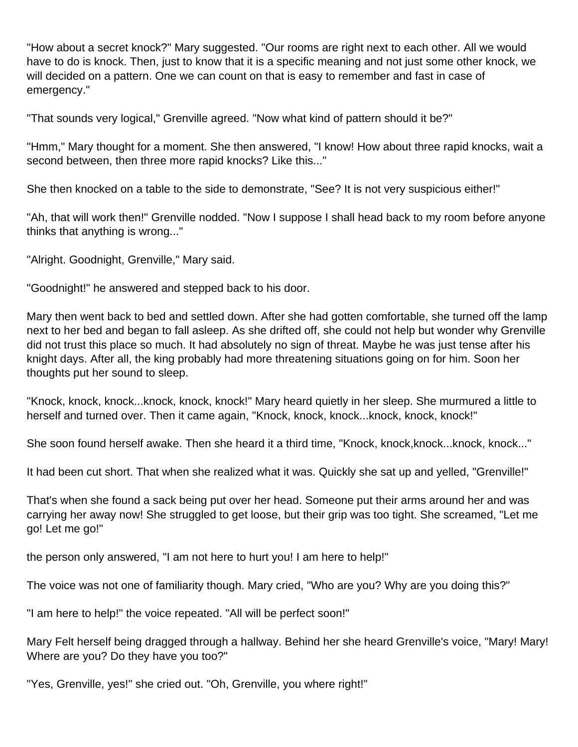"How about a secret knock?" Mary suggested. "Our rooms are right next to each other. All we would have to do is knock. Then, just to know that it is a specific meaning and not just some other knock, we will decided on a pattern. One we can count on that is easy to remember and fast in case of emergency."

"That sounds very logical," Grenville agreed. "Now what kind of pattern should it be?"

"Hmm," Mary thought for a moment. She then answered, "I know! How about three rapid knocks, wait a second between, then three more rapid knocks? Like this..."

She then knocked on a table to the side to demonstrate, "See? It is not very suspicious either!"

"Ah, that will work then!" Grenville nodded. "Now I suppose I shall head back to my room before anyone thinks that anything is wrong..."

"Alright. Goodnight, Grenville," Mary said.

"Goodnight!" he answered and stepped back to his door.

Mary then went back to bed and settled down. After she had gotten comfortable, she turned off the lamp next to her bed and began to fall asleep. As she drifted off, she could not help but wonder why Grenville did not trust this place so much. It had absolutely no sign of threat. Maybe he was just tense after his knight days. After all, the king probably had more threatening situations going on for him. Soon her thoughts put her sound to sleep.

"Knock, knock, knock...knock, knock, knock!" Mary heard quietly in her sleep. She murmured a little to herself and turned over. Then it came again, "Knock, knock, knock...knock, knock, knock!"

She soon found herself awake. Then she heard it a third time, "Knock, knock, knock...knock, knock..."

It had been cut short. That when she realized what it was. Quickly she sat up and yelled, "Grenville!"

That's when she found a sack being put over her head. Someone put their arms around her and was carrying her away now! She struggled to get loose, but their grip was too tight. She screamed, "Let me go! Let me go!"

the person only answered, "I am not here to hurt you! I am here to help!"

The voice was not one of familiarity though. Mary cried, "Who are you? Why are you doing this?"

"I am here to help!" the voice repeated. "All will be perfect soon!"

Mary Felt herself being dragged through a hallway. Behind her she heard Grenville's voice, "Mary! Mary! Where are you? Do they have you too?"

"Yes, Grenville, yes!" she cried out. "Oh, Grenville, you where right!"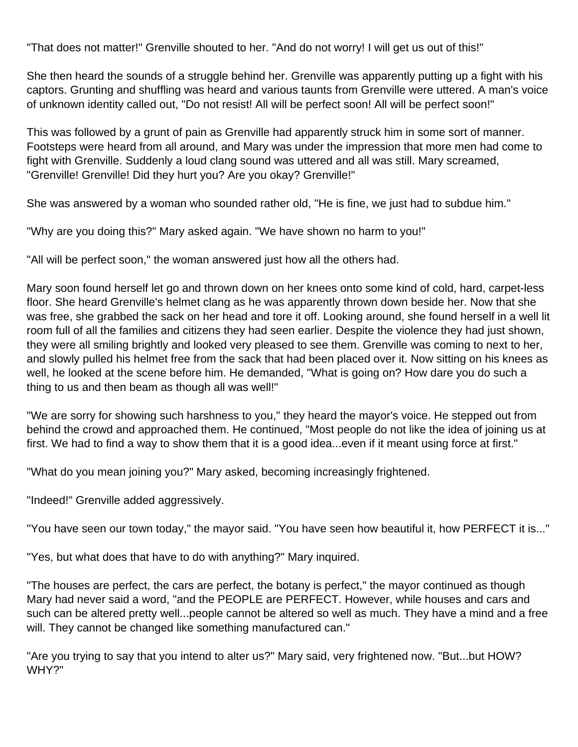"That does not matter!" Grenville shouted to her. "And do not worry! I will get us out of this!"

She then heard the sounds of a struggle behind her. Grenville was apparently putting up a fight with his captors. Grunting and shuffling was heard and various taunts from Grenville were uttered. A man's voice of unknown identity called out, "Do not resist! All will be perfect soon! All will be perfect soon!"

This was followed by a grunt of pain as Grenville had apparently struck him in some sort of manner. Footsteps were heard from all around, and Mary was under the impression that more men had come to fight with Grenville. Suddenly a loud clang sound was uttered and all was still. Mary screamed, "Grenville! Grenville! Did they hurt you? Are you okay? Grenville!"

She was answered by a woman who sounded rather old, "He is fine, we just had to subdue him."

"Why are you doing this?" Mary asked again. "We have shown no harm to you!"

"All will be perfect soon," the woman answered just how all the others had.

Mary soon found herself let go and thrown down on her knees onto some kind of cold, hard, carpet-less floor. She heard Grenville's helmet clang as he was apparently thrown down beside her. Now that she was free, she grabbed the sack on her head and tore it off. Looking around, she found herself in a well lit room full of all the families and citizens they had seen earlier. Despite the violence they had just shown, they were all smiling brightly and looked very pleased to see them. Grenville was coming to next to her, and slowly pulled his helmet free from the sack that had been placed over it. Now sitting on his knees as well, he looked at the scene before him. He demanded, "What is going on? How dare you do such a thing to us and then beam as though all was well!"

"We are sorry for showing such harshness to you," they heard the mayor's voice. He stepped out from behind the crowd and approached them. He continued, "Most people do not like the idea of joining us at first. We had to find a way to show them that it is a good idea...even if it meant using force at first."

"What do you mean joining you?" Mary asked, becoming increasingly frightened.

"Indeed!" Grenville added aggressively.

"You have seen our town today," the mayor said. "You have seen how beautiful it, how PERFECT it is..."

"Yes, but what does that have to do with anything?" Mary inquired.

"The houses are perfect, the cars are perfect, the botany is perfect," the mayor continued as though Mary had never said a word, "and the PEOPLE are PERFECT. However, while houses and cars and such can be altered pretty well...people cannot be altered so well as much. They have a mind and a free will. They cannot be changed like something manufactured can."

"Are you trying to say that you intend to alter us?" Mary said, very frightened now. "But...but HOW? WHY?"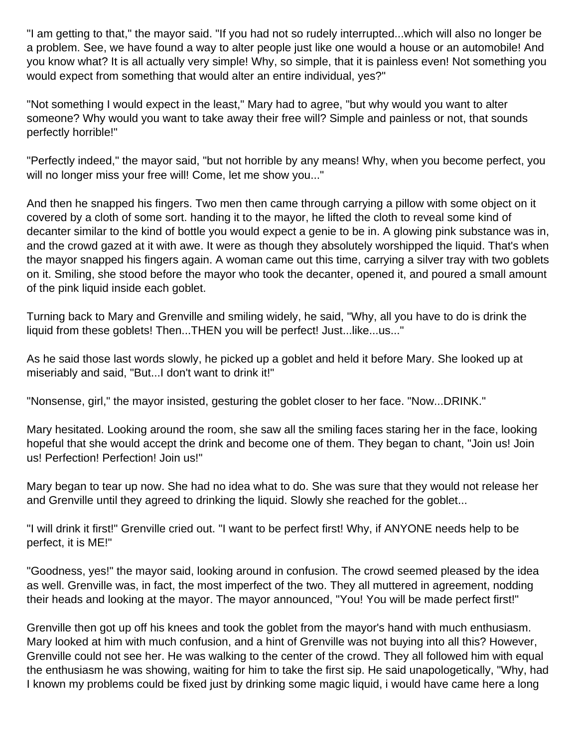"I am getting to that," the mayor said. "If you had not so rudely interrupted...which will also no longer be a problem. See, we have found a way to alter people just like one would a house or an automobile! And you know what? It is all actually very simple! Why, so simple, that it is painless even! Not something you would expect from something that would alter an entire individual, yes?"

"Not something I would expect in the least," Mary had to agree, "but why would you want to alter someone? Why would you want to take away their free will? Simple and painless or not, that sounds perfectly horrible!"

"Perfectly indeed," the mayor said, "but not horrible by any means! Why, when you become perfect, you will no longer miss your free will! Come, let me show you..."

And then he snapped his fingers. Two men then came through carrying a pillow with some object on it covered by a cloth of some sort. handing it to the mayor, he lifted the cloth to reveal some kind of decanter similar to the kind of bottle you would expect a genie to be in. A glowing pink substance was in, and the crowd gazed at it with awe. It were as though they absolutely worshipped the liquid. That's when the mayor snapped his fingers again. A woman came out this time, carrying a silver tray with two goblets on it. Smiling, she stood before the mayor who took the decanter, opened it, and poured a small amount of the pink liquid inside each goblet.

Turning back to Mary and Grenville and smiling widely, he said, "Why, all you have to do is drink the liquid from these goblets! Then...THEN you will be perfect! Just...like...us..."

As he said those last words slowly, he picked up a goblet and held it before Mary. She looked up at miseriably and said, "But...I don't want to drink it!"

"Nonsense, girl," the mayor insisted, gesturing the goblet closer to her face. "Now...DRINK."

Mary hesitated. Looking around the room, she saw all the smiling faces staring her in the face, looking hopeful that she would accept the drink and become one of them. They began to chant, "Join us! Join us! Perfection! Perfection! Join us!"

Mary began to tear up now. She had no idea what to do. She was sure that they would not release her and Grenville until they agreed to drinking the liquid. Slowly she reached for the goblet...

"I will drink it first!" Grenville cried out. "I want to be perfect first! Why, if ANYONE needs help to be perfect, it is ME!"

"Goodness, yes!" the mayor said, looking around in confusion. The crowd seemed pleased by the idea as well. Grenville was, in fact, the most imperfect of the two. They all muttered in agreement, nodding their heads and looking at the mayor. The mayor announced, "You! You will be made perfect first!"

Grenville then got up off his knees and took the goblet from the mayor's hand with much enthusiasm. Mary looked at him with much confusion, and a hint of Grenville was not buying into all this? However, Grenville could not see her. He was walking to the center of the crowd. They all followed him with equal the enthusiasm he was showing, waiting for him to take the first sip. He said unapologetically, "Why, had I known my problems could be fixed just by drinking some magic liquid, i would have came here a long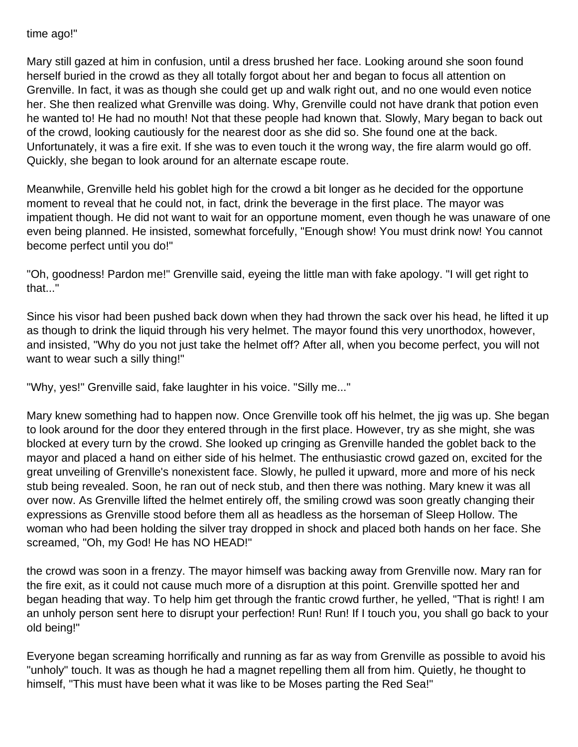time ago!"

Mary still gazed at him in confusion, until a dress brushed her face. Looking around she soon found herself buried in the crowd as they all totally forgot about her and began to focus all attention on Grenville. In fact, it was as though she could get up and walk right out, and no one would even notice her. She then realized what Grenville was doing. Why, Grenville could not have drank that potion even he wanted to! He had no mouth! Not that these people had known that. Slowly, Mary began to back out of the crowd, looking cautiously for the nearest door as she did so. She found one at the back. Unfortunately, it was a fire exit. If she was to even touch it the wrong way, the fire alarm would go off. Quickly, she began to look around for an alternate escape route.

Meanwhile, Grenville held his goblet high for the crowd a bit longer as he decided for the opportune moment to reveal that he could not, in fact, drink the beverage in the first place. The mayor was impatient though. He did not want to wait for an opportune moment, even though he was unaware of one even being planned. He insisted, somewhat forcefully, "Enough show! You must drink now! You cannot become perfect until you do!"

"Oh, goodness! Pardon me!" Grenville said, eyeing the little man with fake apology. "I will get right to that..."

Since his visor had been pushed back down when they had thrown the sack over his head, he lifted it up as though to drink the liquid through his very helmet. The mayor found this very unorthodox, however, and insisted, "Why do you not just take the helmet off? After all, when you become perfect, you will not want to wear such a silly thing!"

"Why, yes!" Grenville said, fake laughter in his voice. "Silly me..."

Mary knew something had to happen now. Once Grenville took off his helmet, the jig was up. She began to look around for the door they entered through in the first place. However, try as she might, she was blocked at every turn by the crowd. She looked up cringing as Grenville handed the goblet back to the mayor and placed a hand on either side of his helmet. The enthusiastic crowd gazed on, excited for the great unveiling of Grenville's nonexistent face. Slowly, he pulled it upward, more and more of his neck stub being revealed. Soon, he ran out of neck stub, and then there was nothing. Mary knew it was all over now. As Grenville lifted the helmet entirely off, the smiling crowd was soon greatly changing their expressions as Grenville stood before them all as headless as the horseman of Sleep Hollow. The woman who had been holding the silver tray dropped in shock and placed both hands on her face. She screamed, "Oh, my God! He has NO HEAD!"

the crowd was soon in a frenzy. The mayor himself was backing away from Grenville now. Mary ran for the fire exit, as it could not cause much more of a disruption at this point. Grenville spotted her and began heading that way. To help him get through the frantic crowd further, he yelled, "That is right! I am an unholy person sent here to disrupt your perfection! Run! Run! If I touch you, you shall go back to your old being!"

Everyone began screaming horrifically and running as far as way from Grenville as possible to avoid his "unholy" touch. It was as though he had a magnet repelling them all from him. Quietly, he thought to himself, "This must have been what it was like to be Moses parting the Red Sea!"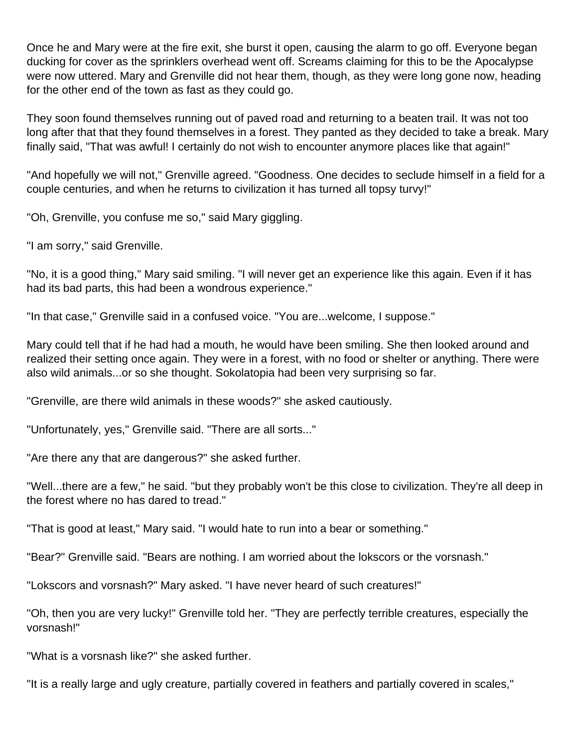Once he and Mary were at the fire exit, she burst it open, causing the alarm to go off. Everyone began ducking for cover as the sprinklers overhead went off. Screams claiming for this to be the Apocalypse were now uttered. Mary and Grenville did not hear them, though, as they were long gone now, heading for the other end of the town as fast as they could go.

They soon found themselves running out of paved road and returning to a beaten trail. It was not too long after that that they found themselves in a forest. They panted as they decided to take a break. Mary finally said, "That was awful! I certainly do not wish to encounter anymore places like that again!"

"And hopefully we will not," Grenville agreed. "Goodness. One decides to seclude himself in a field for a couple centuries, and when he returns to civilization it has turned all topsy turvy!"

"Oh, Grenville, you confuse me so," said Mary giggling.

"I am sorry," said Grenville.

"No, it is a good thing," Mary said smiling. "I will never get an experience like this again. Even if it has had its bad parts, this had been a wondrous experience."

"In that case," Grenville said in a confused voice. "You are...welcome, I suppose."

Mary could tell that if he had had a mouth, he would have been smiling. She then looked around and realized their setting once again. They were in a forest, with no food or shelter or anything. There were also wild animals...or so she thought. Sokolatopia had been very surprising so far.

"Grenville, are there wild animals in these woods?" she asked cautiously.

"Unfortunately, yes," Grenville said. "There are all sorts..."

"Are there any that are dangerous?" she asked further.

"Well...there are a few," he said. "but they probably won't be this close to civilization. They're all deep in the forest where no has dared to tread."

"That is good at least," Mary said. "I would hate to run into a bear or something."

"Bear?" Grenville said. "Bears are nothing. I am worried about the lokscors or the vorsnash."

"Lokscors and vorsnash?" Mary asked. "I have never heard of such creatures!"

"Oh, then you are very lucky!" Grenville told her. "They are perfectly terrible creatures, especially the vorsnash!"

"What is a vorsnash like?" she asked further.

"It is a really large and ugly creature, partially covered in feathers and partially covered in scales,"